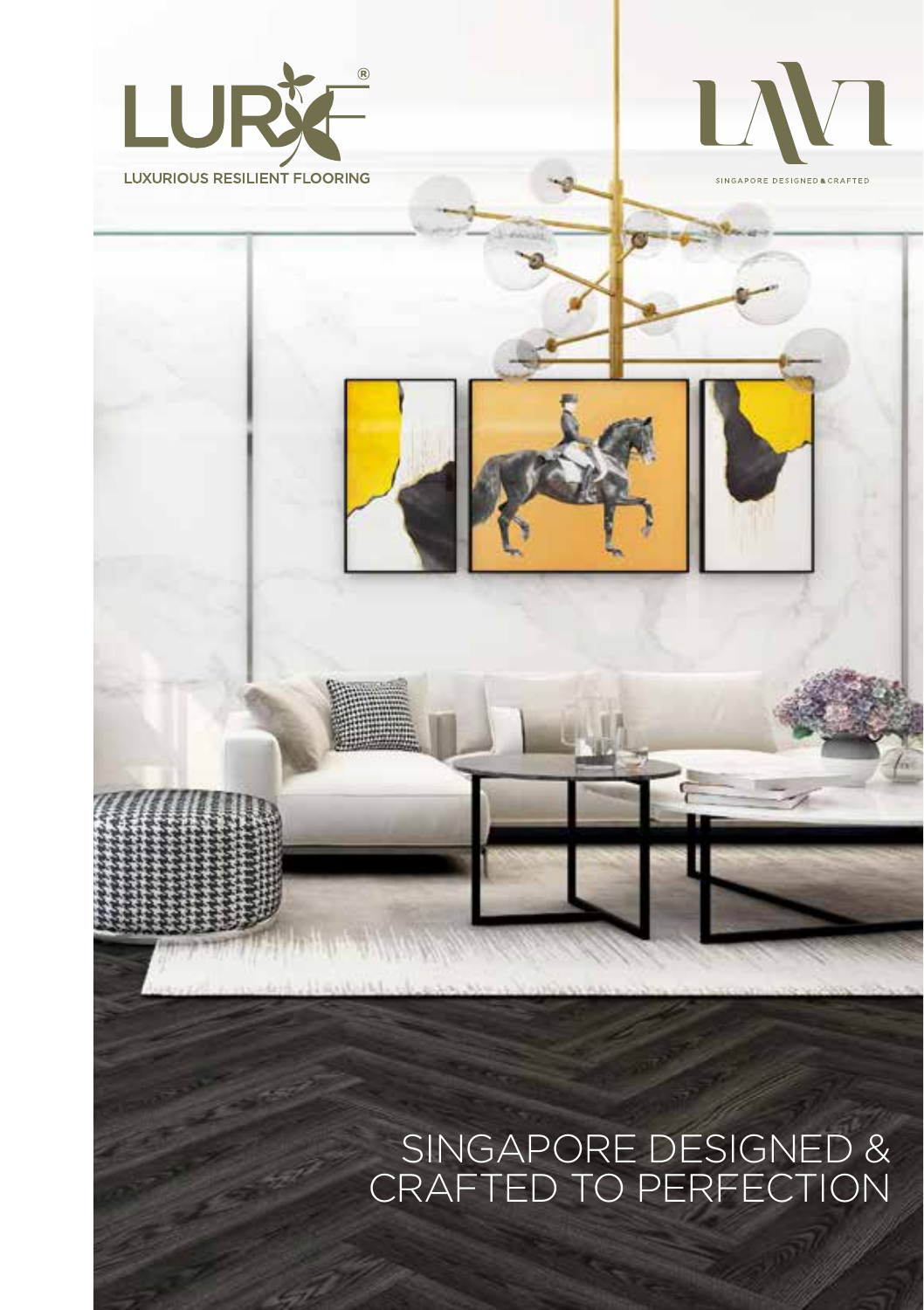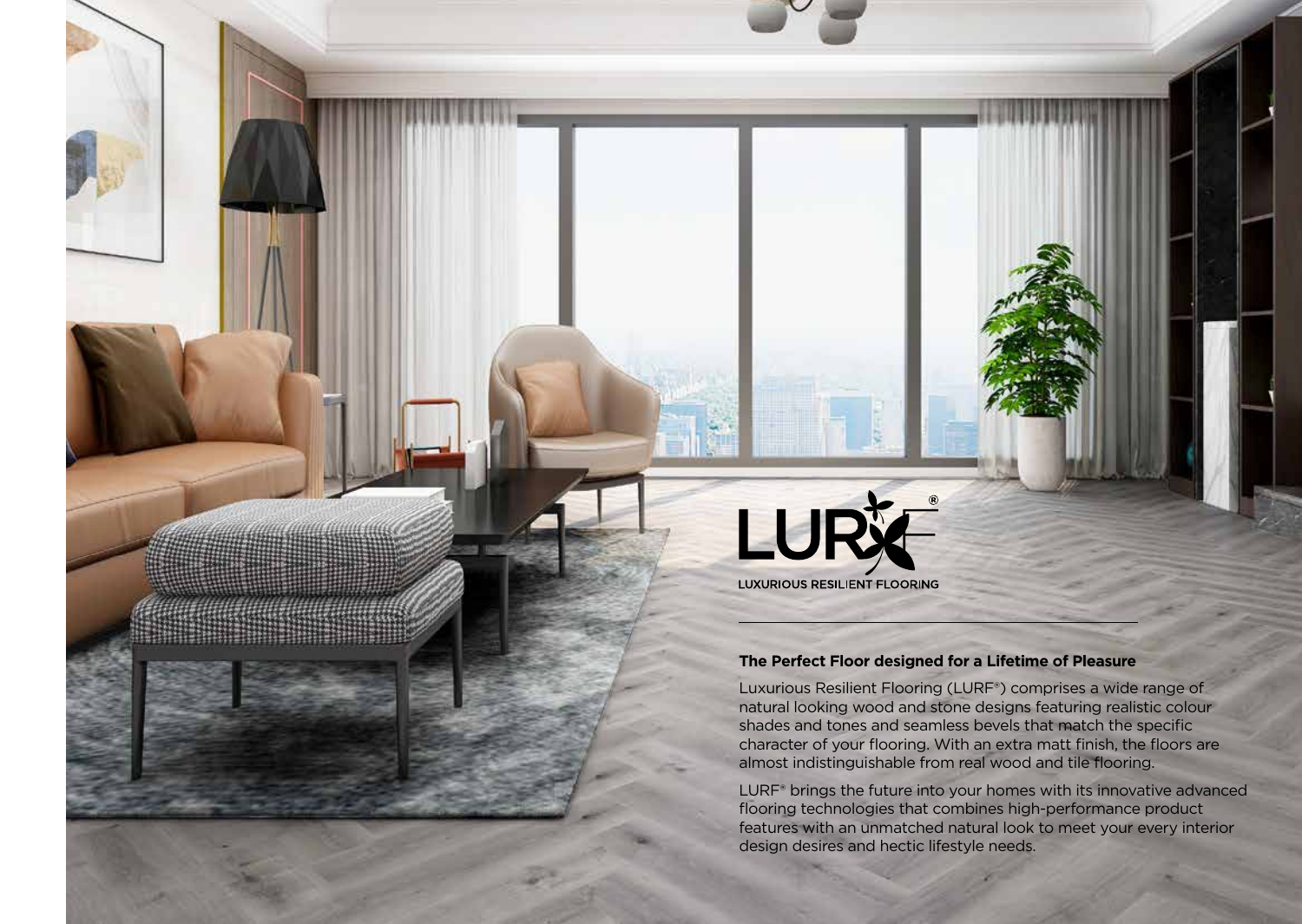

## **The Perfect Floor designed for a Lifetime of Pleasure**

Luxurious Resilient Flooring (LURF®) comprises a wide range of natural looking wood and stone designs featuring realistic colour shades and tones and seamless bevels that match the specific character of your flooring. With an extra matt finish, the floors are almost indistinguishable from real wood and tile flooring.

LURF® brings the future into your homes with its innovative advanced flooring technologies that combines high-performance product features with an unmatched natural look to meet your every interior design desires and hectic lifestyle needs.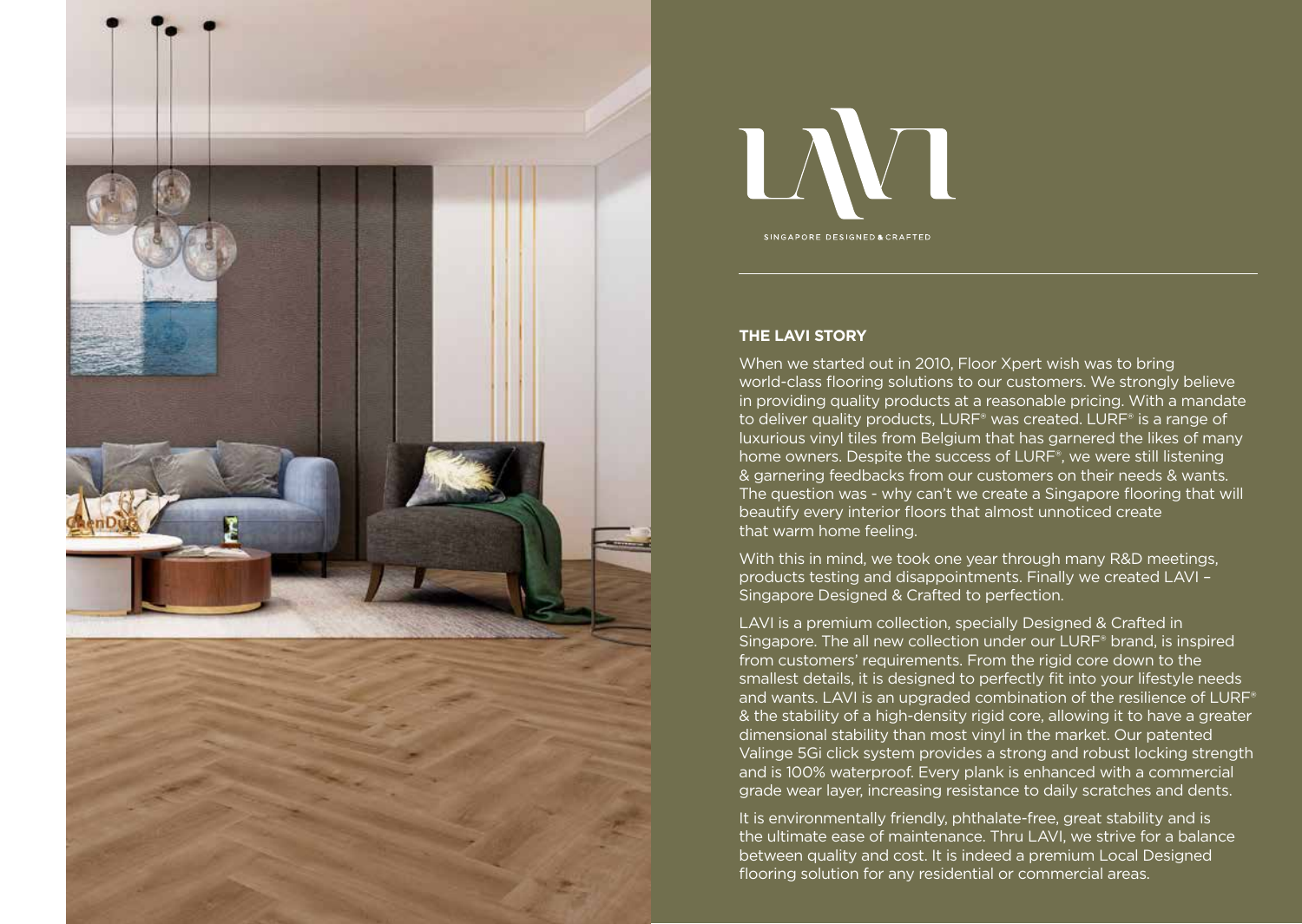



## **THE LAVI STORY**

When we started out in 2010, Floor Xpert wish was to bring world-class flooring solutions to our customers. We strongly believe in providing quality products at a reasonable pricing. With a mandate to deliver quality products, LURF® was created. LURF® is a range of luxurious vinyl tiles from Belgium that has garnered the likes of many home owners. Despite the success of LURF®, we were still listening & garnering feedbacks from our customers on their needs & wants. The question was - why can't we create a Singapore flooring that will beautify every interior floors that almost unnoticed create that warm home feeling.

With this in mind, we took one year through many R&D meetings, products testing and disappointments. Finally we created LAVI – Singapore Designed & Crafted to perfection.

LAVI is a premium collection, specially Designed & Crafted in Singapore. The all new collection under our LURF® brand, is inspired from customers' requirements. From the rigid core down to the smallest details, it is designed to perfectly fit into your lifestyle needs and wants. LAVI is an upgraded combination of the resilience of LURF® & the stability of a high-density rigid core, allowing it to have a greater dimensional stability than most vinyl in the market. Our patented Valinge 5Gi click system provides a strong and robust locking strength and is 100% waterproof. Every plank is enhanced with a commercial grade wear layer, increasing resistance to daily scratches and dents.

It is environmentally friendly, phthalate-free, great stability and is the ultimate ease of maintenance. Thru LAVI, we strive for a balance between quality and cost. It is indeed a premium Local Designed flooring solution for any residential or commercial areas.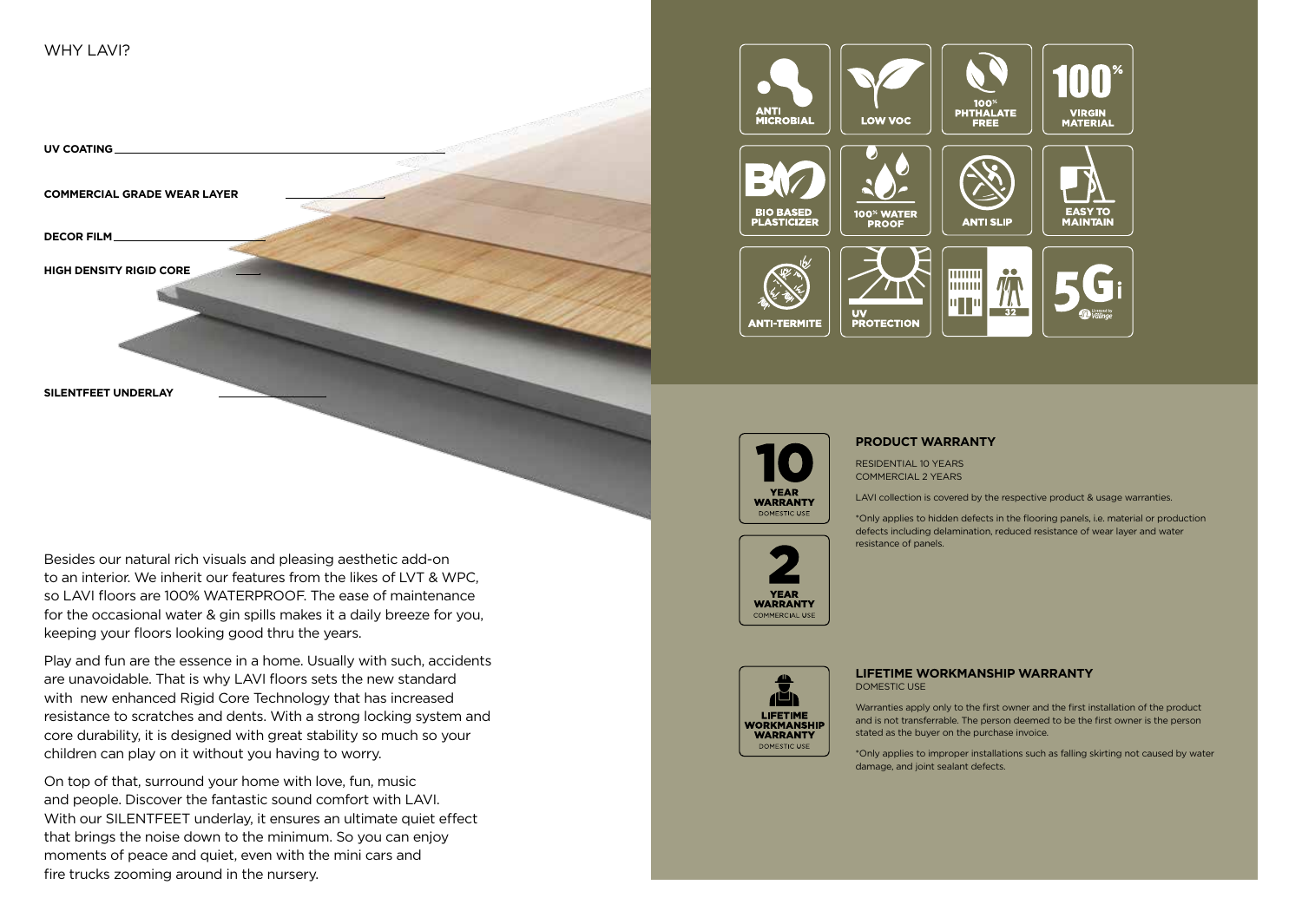

**SILENTFEET UNDERLAY**

Besides our natural rich visuals and pleasing aesthetic add-on to an interior. We inherit our features from the likes of LVT & WPC, so LAVI floors are 100% WATERPROOF. The ease of maintenance for the occasional water & gin spills makes it a daily breeze for you, keeping your floors looking good thru the years.

Play and fun are the essence in a home. Usually with such, accidents are unavoidable. That is why LAVI floors sets the new standard with new enhanced Rigid Core Technology that has increased resistance to scratches and dents. With a strong locking system and core durability, it is designed with great stability so much so your children can play on it without you having to worry.

On top of that, surround your home with love, fun, music and people. Discover the fantastic sound comfort with LAVI. With our SILENTFEET underlay, it ensures an ultimate quiet effect that brings the noise down to the minimum. So you can enjoy moments of peace and quiet, even with the mini cars and fire trucks zooming around in the nursery.





#### **PRODUCT WARRANTY**

RESIDENTIAL 10 YEARS COMMERCIAL 2 YEARS

LAVI collection is covered by the respective product & usage warranties.

\*Only applies to hidden defects in the flooring panels, i.e. material or production defects including delamination, reduced resistance of wear layer and water resistance of panels.







#### **LIFETIME WORKMANSHIP WARRANTY** DOMESTIC USE

Warranties apply only to the first owner and the first installation of the product and is not transferrable. The person deemed to be the first owner is the person stated as the buyer on the purchase invoice.

\*Only applies to improper installations such as falling skirting not caused by water damage, and joint sealant defects.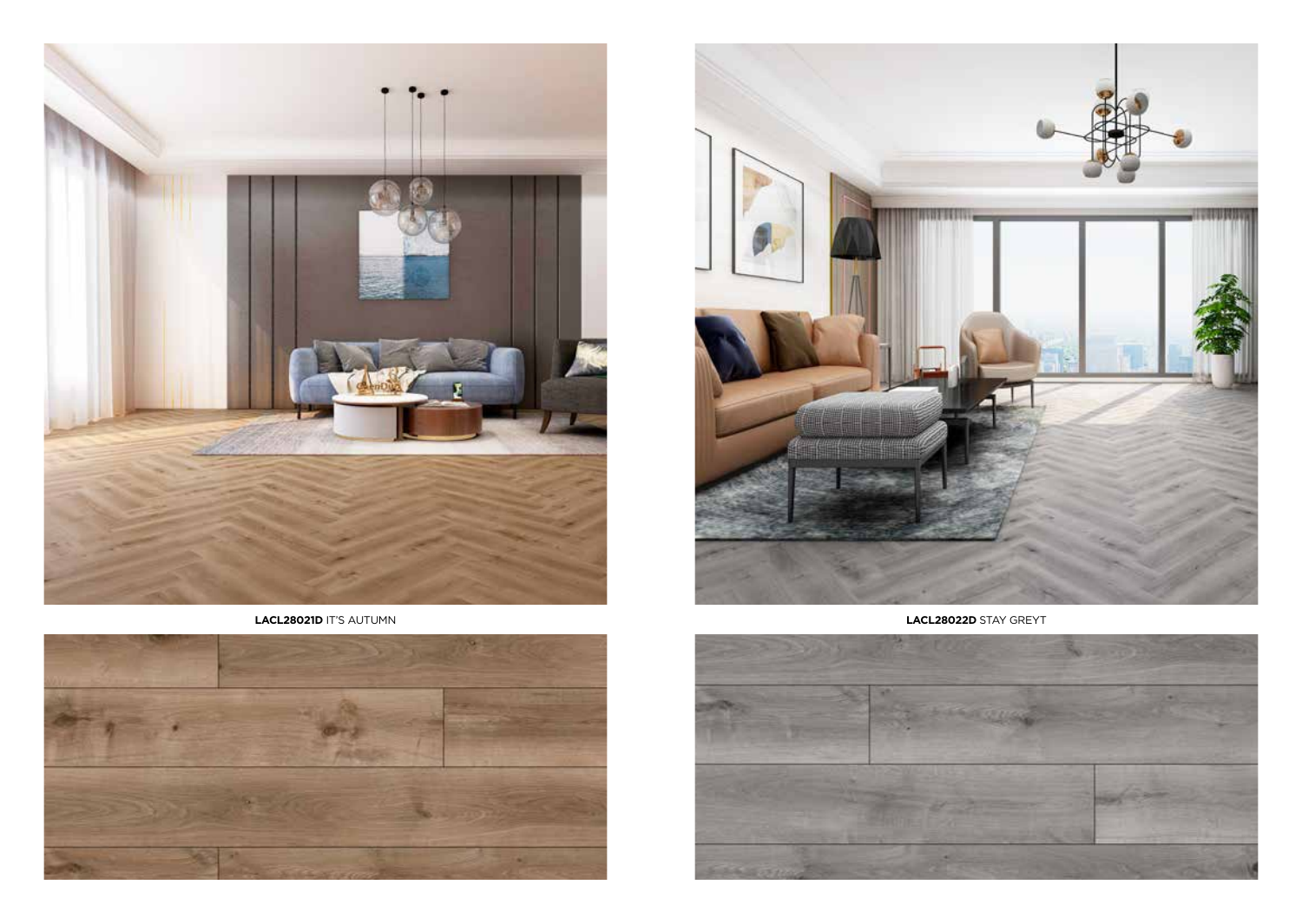





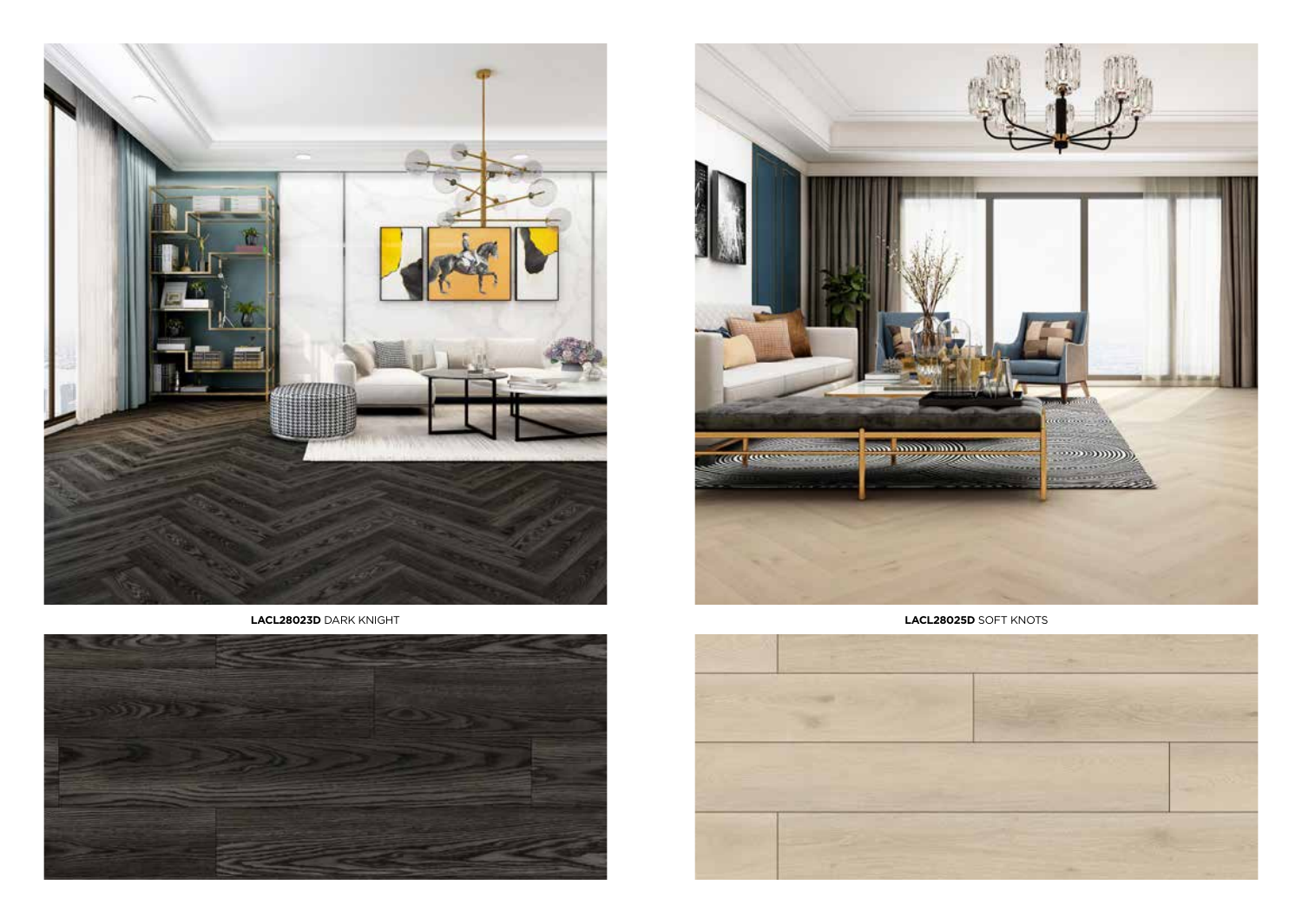

**LACL28023D** DARK KNIGHT **LACL28025D** SOFT KNOTS





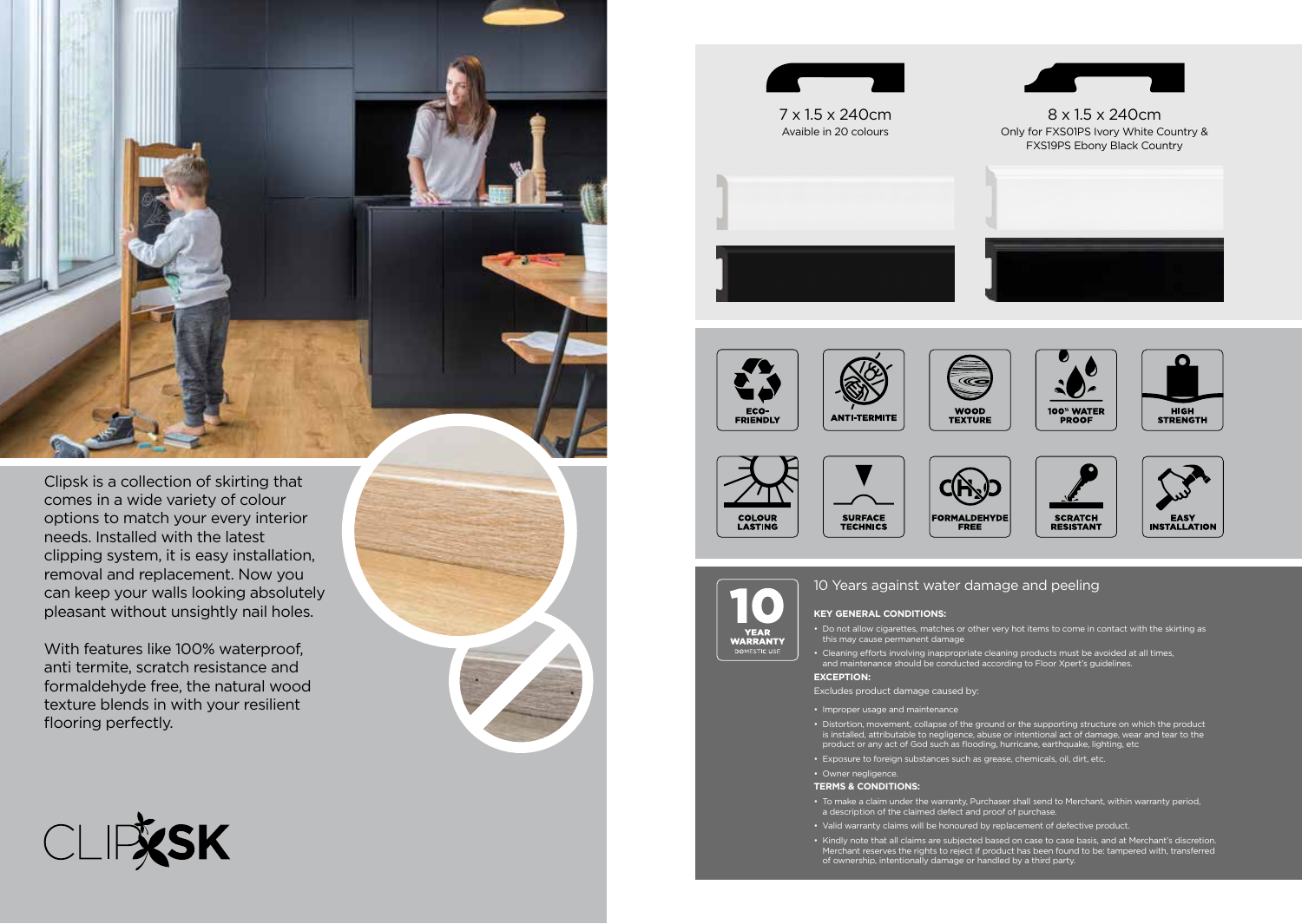

Clipsk is a collection of skirting that comes in a wide variety of colour options to match your every interior needs. Installed with the latest clipping system, it is easy installation, removal and replacement. Now you can keep your walls looking absolutely pleasant without unsightly nail holes.

With features like 100% waterproof, anti termite, scratch resistance and formaldehyde free, the natural wood texture blends in with your resilient flooring perfectly.







7 x 1.5 x 240cm Avaible in 20 colours



8 x 1.5 x 240cm Only for FXS01PS Ivory White Country & FXS19PS Ebony Black Country





**SCRATCH** 

RESISTANT

FASY

**INSTALLATION** 



**FORMALDEHYDE** 

FREE



**COLOUR** 

LASTING

10 Years against water damage and peeling

#### **Key General Conditions:**

**SURFACE** 

**TECHNICS** 

- • Do not allow cigarettes, matches or other very hot items to come in contact with the skirting as this may cause permanent damage
- • Cleaning efforts involving inappropriate cleaning products must be avoided at all times, and maintenance should be conducted according to Floor Xpert's guidelines.

#### **Exception:**

- Excludes product damage caused by:
- Improper usage and maintenance
- Distortion, movement, collapse of the ground or the supporting structure on which the product<br>is installed, attributable to negligence, abuse or intentional act of damage, wear and tear to the<br>product or any act of God s
- • Exposure to foreign substances such as grease, chemicals, oil, dirt, etc.
- • Owner negligence.

#### **Terms & Conditions:**

- • To make a claim under the warranty, Purchaser shall send to Merchant, within warranty period, a description of the claimed defect and proof of purchase.
- • Valid warranty claims will be honoured by replacement of defective product.
- • Kindly note that all claims are subjected based on case to case basis, and at Merchant's discretion. Merchant reserves the rights to reject if product has been found to be: tampered with, transferred of ownership, intentionally damage or handled by a third party.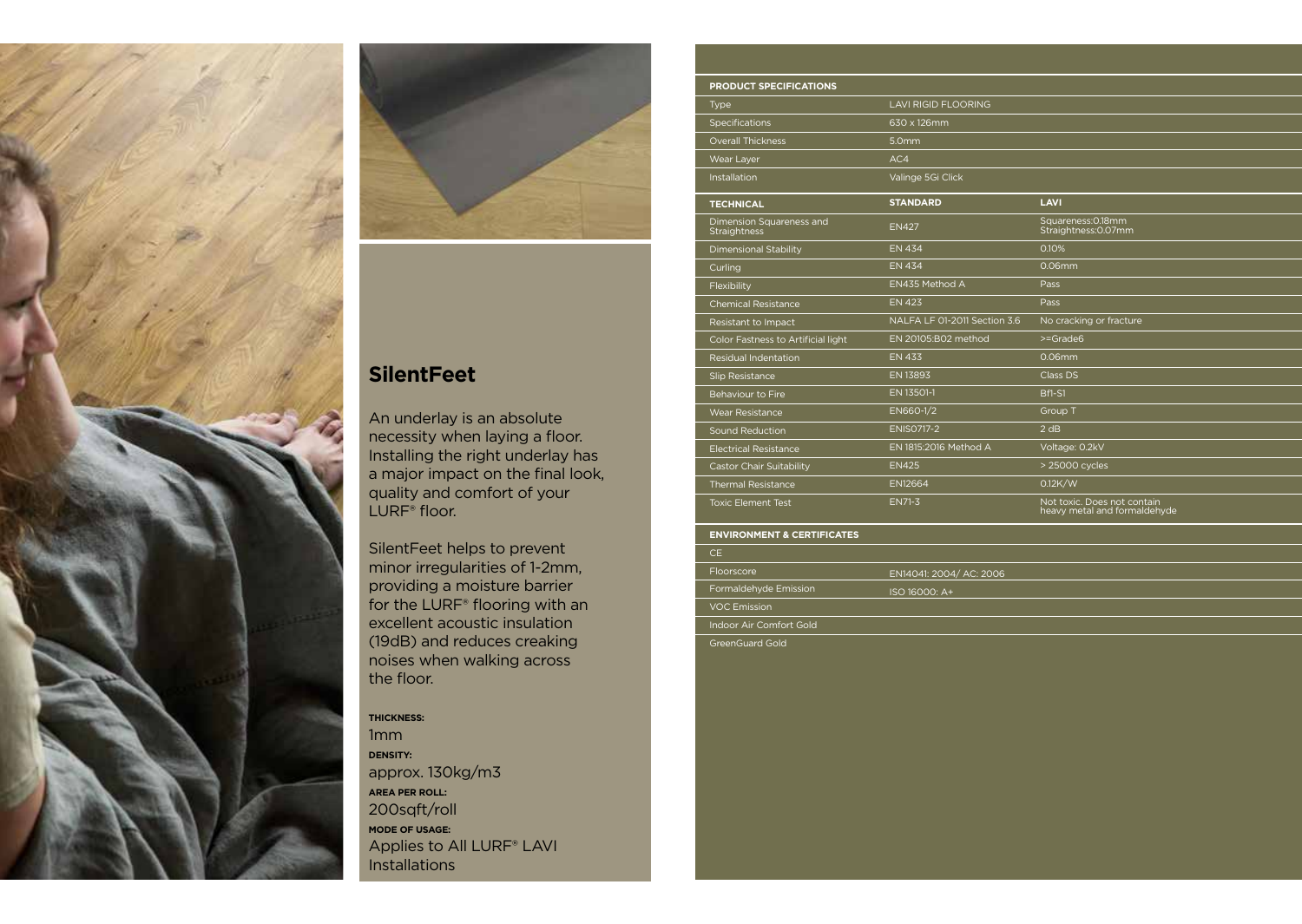



# **SilentFeet**

An underlay is an absolute necessity when laying a floor. Installing the right underlay has a major impact on the final look, quality and comfort of your LURF<sup>®</sup> floor.

SilentFeet helps to prevent minor irregularities of 1-2mm, providing a moisture barrier for the LURF® flooring with an excellent acoustic insulation (19dB) and reduces creaking noises when walking across the floor.

## **Thickness:**

1mm **Density:**  approx. 130kg/m3 **Area per roll:**  200sqft/roll **Mode of Usage:**  Applies to All LURF® LAVI Installations

| <b>PRODUCT SPECIFICATIONS</b>            |                              |                                                             |
|------------------------------------------|------------------------------|-------------------------------------------------------------|
| <b>Type</b>                              | <b>LAVI RIGID FLOORING</b>   |                                                             |
| Specifications                           | 630 x 126mm                  |                                                             |
| <b>Overall Thickness</b>                 | 5.0mm                        |                                                             |
| Wear Layer                               | AC4                          |                                                             |
| Installation                             | Valinge 5Gi Click            |                                                             |
| <b>TECHNICAL</b>                         | <b>STANDARD</b>              | LAVI                                                        |
| Dimension Squareness and<br>Straightness | <b>EN427</b>                 | Squareness: 0.18mm<br>Straightness: 0.07mm                  |
| <b>Dimensional Stability</b>             | <b>EN 434</b>                | 0.10%                                                       |
| Curling                                  | <b>EN 434</b>                | $0.06$ mm                                                   |
| Flexibility                              | EN435 Method A               | Pass                                                        |
| <b>Chemical Resistance</b>               | <b>EN 423</b>                | Pass                                                        |
| Resistant to Impact                      | NALFA LF 01-2011 Section 3.6 | No cracking or fracture                                     |
| Color Fastness to Artificial light       | EN 20105:B02 method          | $>=$ Grade6                                                 |
| <b>Residual Indentation</b>              | <b>EN 433</b>                | $0.06$ mm                                                   |
| Slip Resistance                          | EN 13893                     | Class DS                                                    |
| <b>Behaviour to Fire</b>                 | EN 13501-1                   | Bf1-S1                                                      |
| <b>Wear Resistance</b>                   | EN660-1/2                    | Group T                                                     |
| Sound Reduction                          | <b>ENISO717-2</b>            | 2 dB                                                        |
| <b>Electrical Resistance</b>             | EN 1815:2016 Method A        | Voltage: 0.2kV                                              |
| <b>Castor Chair Suitability</b>          | <b>EN425</b>                 | > 25000 cycles                                              |
| <b>Thermal Resistance</b>                | <b>EN12664</b>               | 0.12K/W                                                     |
| <b>Toxic Element Test</b>                | EN71-3                       | Not toxic. Does not contain<br>heavy metal and formaldehyde |

## **ENVIRONMENT & CERTIFICATES**

| CE.                     |                         |
|-------------------------|-------------------------|
| <b>Floorscore</b>       | EN14041: 2004/ AC: 2006 |
| Formaldehyde Emission   | ISO 16000: A+           |
| <b>VOC Emission</b>     |                         |
| Indoor Air Comfort Gold |                         |

GreenGuard Gold